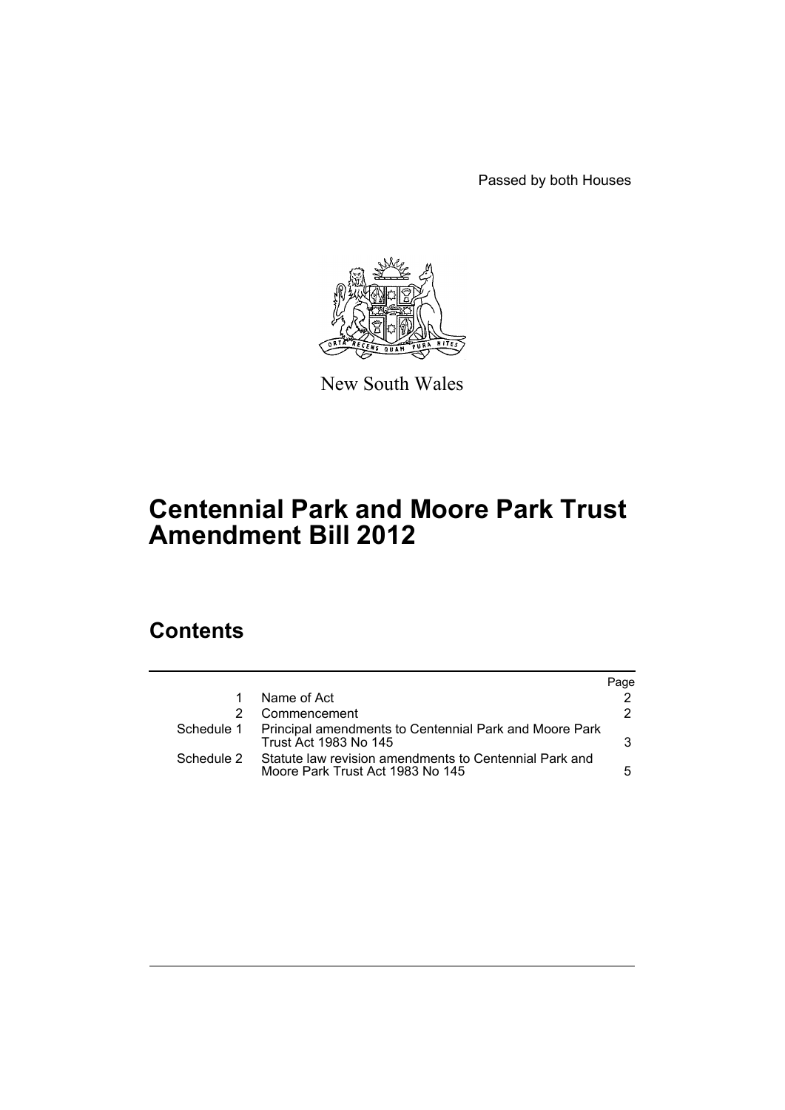Passed by both Houses



New South Wales

# **Centennial Park and Moore Park Trust Amendment Bill 2012**

## **Contents**

|            |                                                                                            | Page |
|------------|--------------------------------------------------------------------------------------------|------|
|            | Name of Act                                                                                |      |
|            | Commencement                                                                               | 2.   |
|            | Schedule 1 Principal amendments to Centennial Park and Moore Park<br>Trust Act 1983 No 145 | 3.   |
| Schedule 2 | Statute law revision amendments to Centennial Park and<br>Moore Park Trust Act 1983 No 145 | 5.   |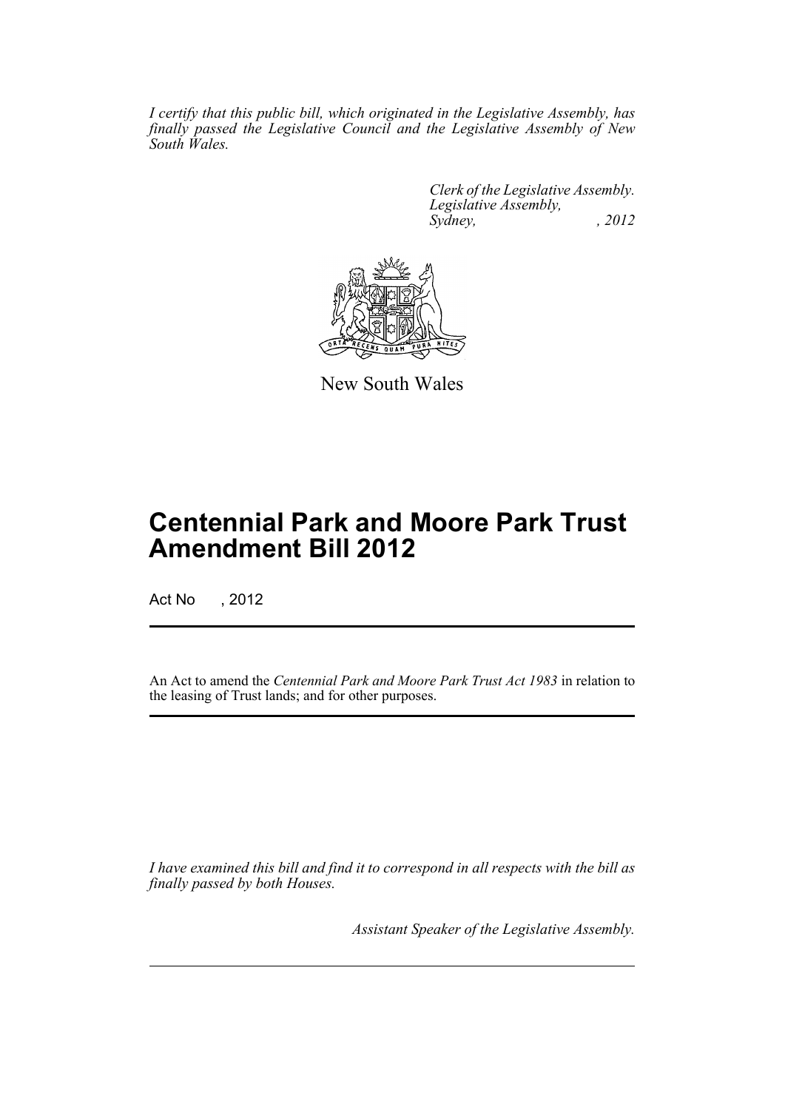*I certify that this public bill, which originated in the Legislative Assembly, has finally passed the Legislative Council and the Legislative Assembly of New South Wales.*

> *Clerk of the Legislative Assembly. Legislative Assembly, Sydney, , 2012*



New South Wales

## **Centennial Park and Moore Park Trust Amendment Bill 2012**

Act No , 2012

An Act to amend the *Centennial Park and Moore Park Trust Act 1983* in relation to the leasing of Trust lands; and for other purposes.

*I have examined this bill and find it to correspond in all respects with the bill as finally passed by both Houses.*

*Assistant Speaker of the Legislative Assembly.*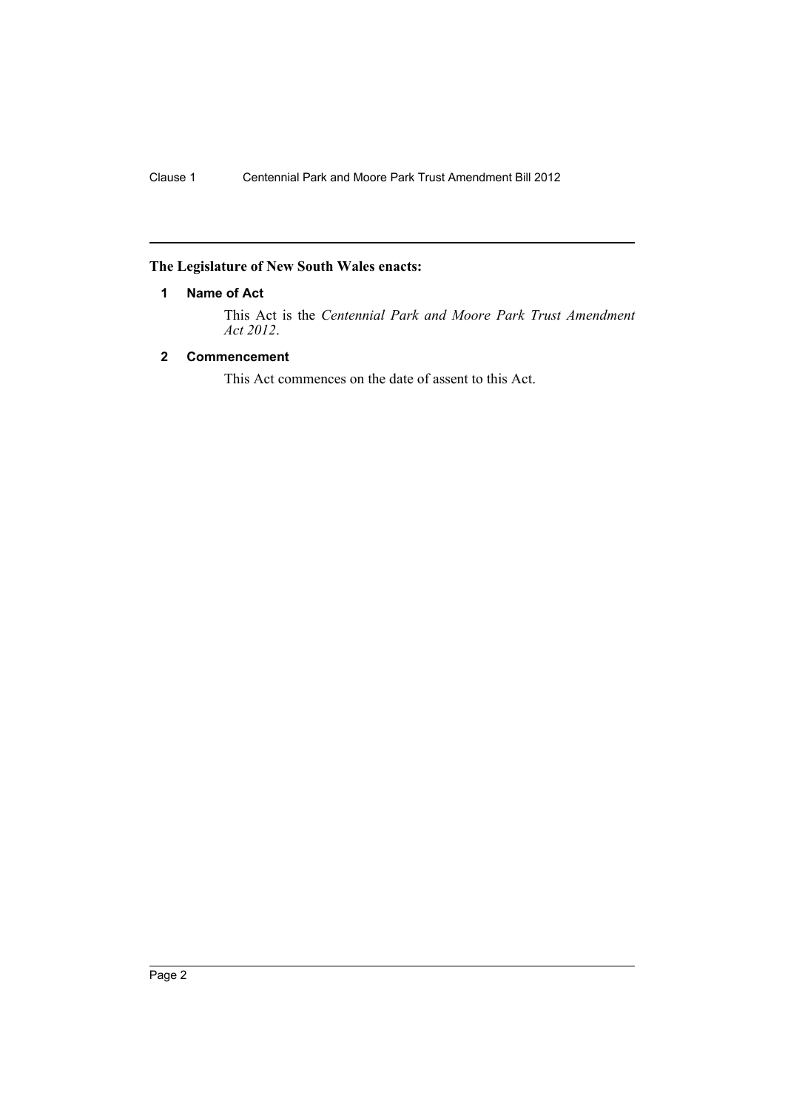### <span id="page-3-0"></span>**The Legislature of New South Wales enacts:**

#### **1 Name of Act**

This Act is the *Centennial Park and Moore Park Trust Amendment Act 2012*.

#### <span id="page-3-1"></span>**2 Commencement**

This Act commences on the date of assent to this Act.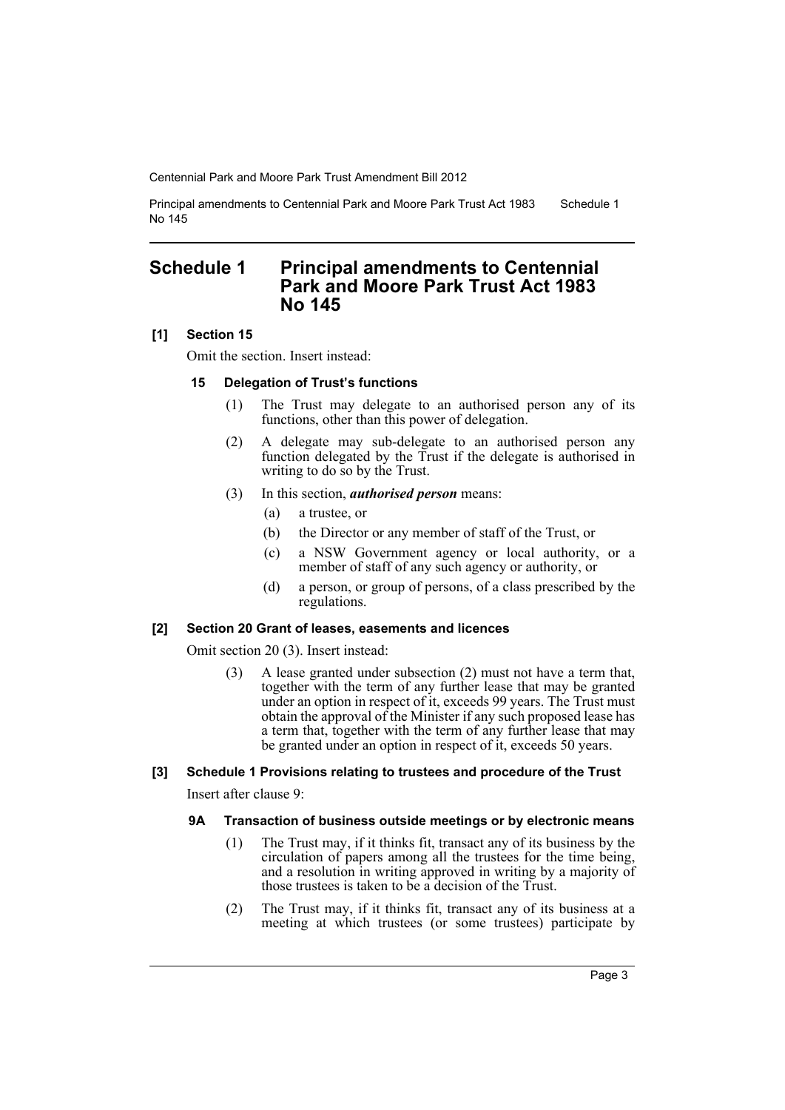Principal amendments to Centennial Park and Moore Park Trust Act 1983 No 145 Schedule 1

## <span id="page-4-0"></span>**Schedule 1 Principal amendments to Centennial Park and Moore Park Trust Act 1983 No 145**

#### **[1] Section 15**

Omit the section. Insert instead:

#### **15 Delegation of Trust's functions**

- (1) The Trust may delegate to an authorised person any of its functions, other than this power of delegation.
- (2) A delegate may sub-delegate to an authorised person any function delegated by the Trust if the delegate is authorised in writing to do so by the Trust.
- (3) In this section, *authorised person* means:
	- (a) a trustee, or
	- (b) the Director or any member of staff of the Trust, or
	- (c) a NSW Government agency or local authority, or a member of staff of any such agency or authority, or
	- (d) a person, or group of persons, of a class prescribed by the regulations.

#### **[2] Section 20 Grant of leases, easements and licences**

Omit section 20 (3). Insert instead:

(3) A lease granted under subsection (2) must not have a term that, together with the term of any further lease that may be granted under an option in respect of it, exceeds 99 years. The Trust must obtain the approval of the Minister if any such proposed lease has a term that, together with the term of any further lease that may be granted under an option in respect of it, exceeds 50 years.

#### **[3] Schedule 1 Provisions relating to trustees and procedure of the Trust**

Insert after clause 9:

#### **9A Transaction of business outside meetings or by electronic means**

- (1) The Trust may, if it thinks fit, transact any of its business by the circulation of papers among all the trustees for the time being, and a resolution in writing approved in writing by a majority of those trustees is taken to be a decision of the Trust.
- (2) The Trust may, if it thinks fit, transact any of its business at a meeting at which trustees (or some trustees) participate by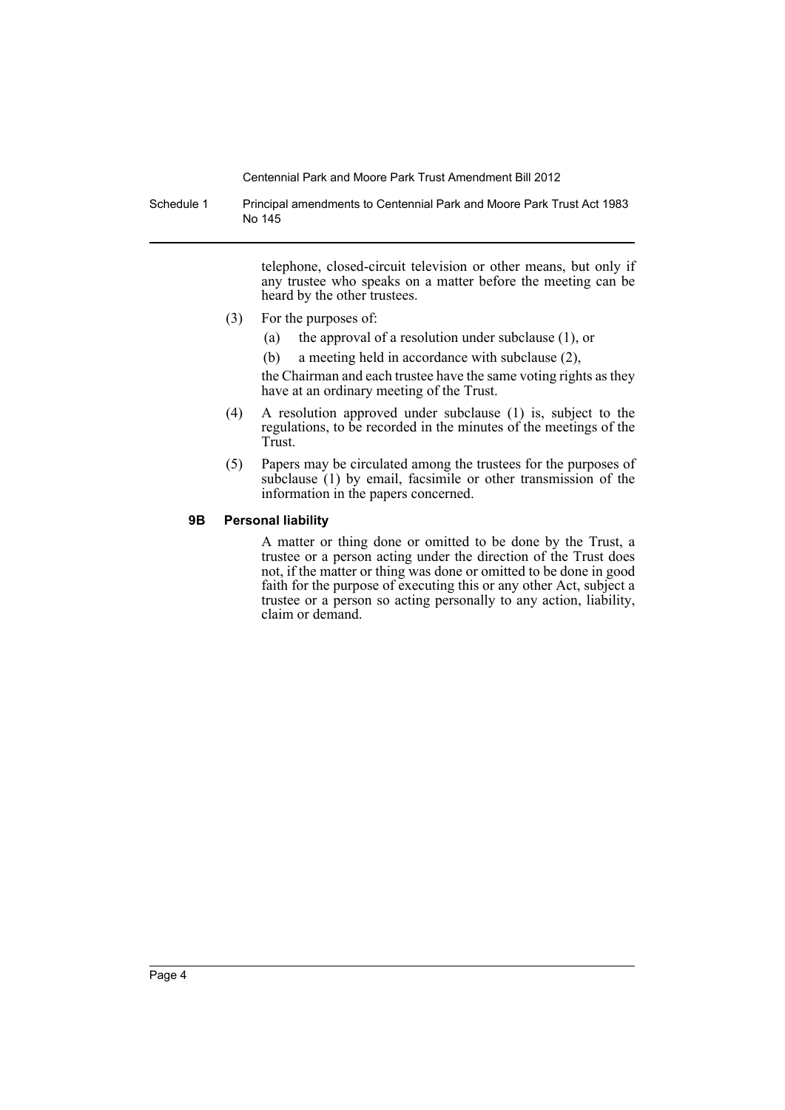Schedule 1 Principal amendments to Centennial Park and Moore Park Trust Act 1983 No 145

> telephone, closed-circuit television or other means, but only if any trustee who speaks on a matter before the meeting can be heard by the other trustees.

- (3) For the purposes of:
	- (a) the approval of a resolution under subclause (1), or
	- (b) a meeting held in accordance with subclause (2),

the Chairman and each trustee have the same voting rights as they have at an ordinary meeting of the Trust.

- (4) A resolution approved under subclause (1) is, subject to the regulations, to be recorded in the minutes of the meetings of the Trust.
- (5) Papers may be circulated among the trustees for the purposes of subclause (1) by email, facsimile or other transmission of the information in the papers concerned.

#### **9B Personal liability**

A matter or thing done or omitted to be done by the Trust, a trustee or a person acting under the direction of the Trust does not, if the matter or thing was done or omitted to be done in good faith for the purpose of executing this or any other Act, subject a trustee or a person so acting personally to any action, liability, claim or demand.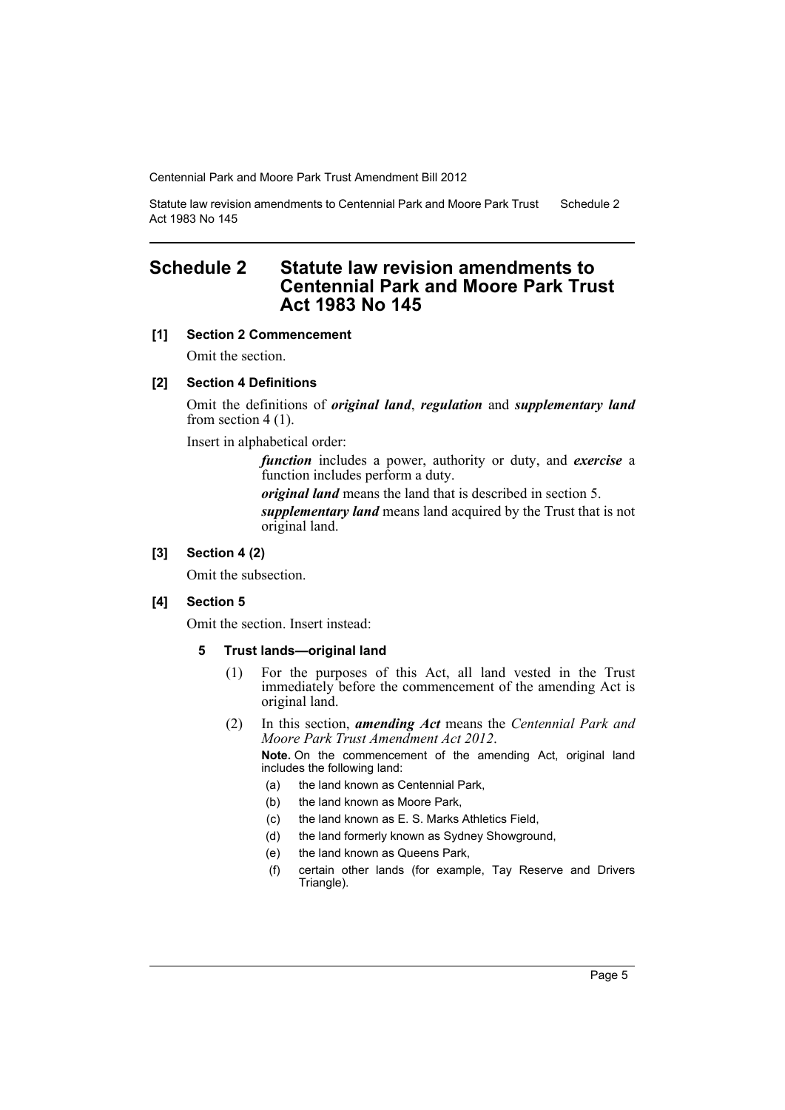Statute law revision amendments to Centennial Park and Moore Park Trust Act 1983 No 145 Schedule 2

## <span id="page-6-0"></span>**Schedule 2 Statute law revision amendments to Centennial Park and Moore Park Trust Act 1983 No 145**

#### **[1] Section 2 Commencement**

Omit the section.

#### **[2] Section 4 Definitions**

Omit the definitions of *original land*, *regulation* and *supplementary land* from section 4 (1).

Insert in alphabetical order:

*function* includes a power, authority or duty, and *exercise* a function includes perform a duty.

*original land* means the land that is described in section 5.

*supplementary land* means land acquired by the Trust that is not original land.

#### **[3] Section 4 (2)**

Omit the subsection.

#### **[4] Section 5**

Omit the section. Insert instead:

#### **5 Trust lands—original land**

- (1) For the purposes of this Act, all land vested in the Trust immediately before the commencement of the amending Act is original land.
- (2) In this section, *amending Act* means the *Centennial Park and Moore Park Trust Amendment Act 2012*.

**Note.** On the commencement of the amending Act, original land includes the following land:

- (a) the land known as Centennial Park,
- (b) the land known as Moore Park,
- (c) the land known as E. S. Marks Athletics Field,
- (d) the land formerly known as Sydney Showground,
- (e) the land known as Queens Park,
- (f) certain other lands (for example, Tay Reserve and Drivers Triangle).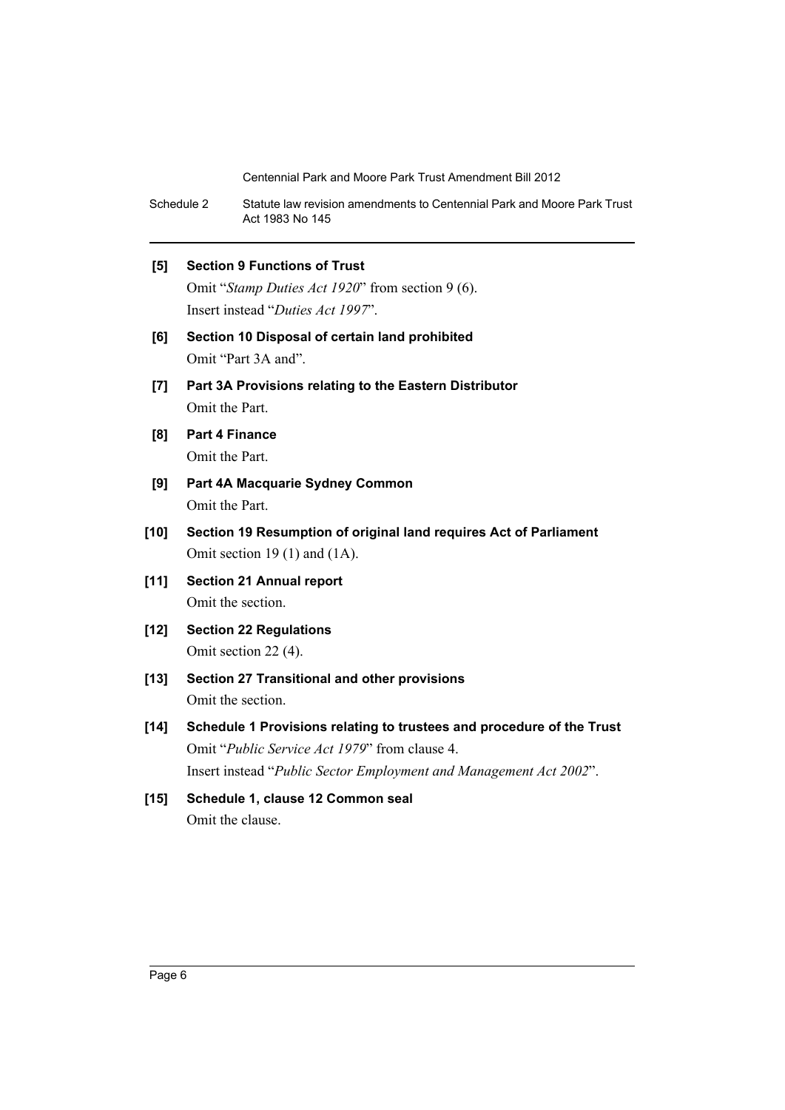Schedule 2 Statute law revision amendments to Centennial Park and Moore Park Trust Act 1983 No 145

#### **[5] Section 9 Functions of Trust**

Omit "*Stamp Duties Act 1920*" from section 9 (6). Insert instead "*Duties Act 1997*".

- **[6] Section 10 Disposal of certain land prohibited** Omit "Part 3A and".
- **[7] Part 3A Provisions relating to the Eastern Distributor** Omit the Part.
- **[8] Part 4 Finance** Omit the Part.
- **[9] Part 4A Macquarie Sydney Common** Omit the Part.
- **[10] Section 19 Resumption of original land requires Act of Parliament** Omit section 19 (1) and (1A).
- **[11] Section 21 Annual report** Omit the section.
- **[12] Section 22 Regulations** Omit section 22 (4).
- **[13] Section 27 Transitional and other provisions** Omit the section.
- **[14] Schedule 1 Provisions relating to trustees and procedure of the Trust** Omit "*Public Service Act 1979*" from clause 4. Insert instead "*Public Sector Employment and Management Act 2002*".
- **[15] Schedule 1, clause 12 Common seal** Omit the clause.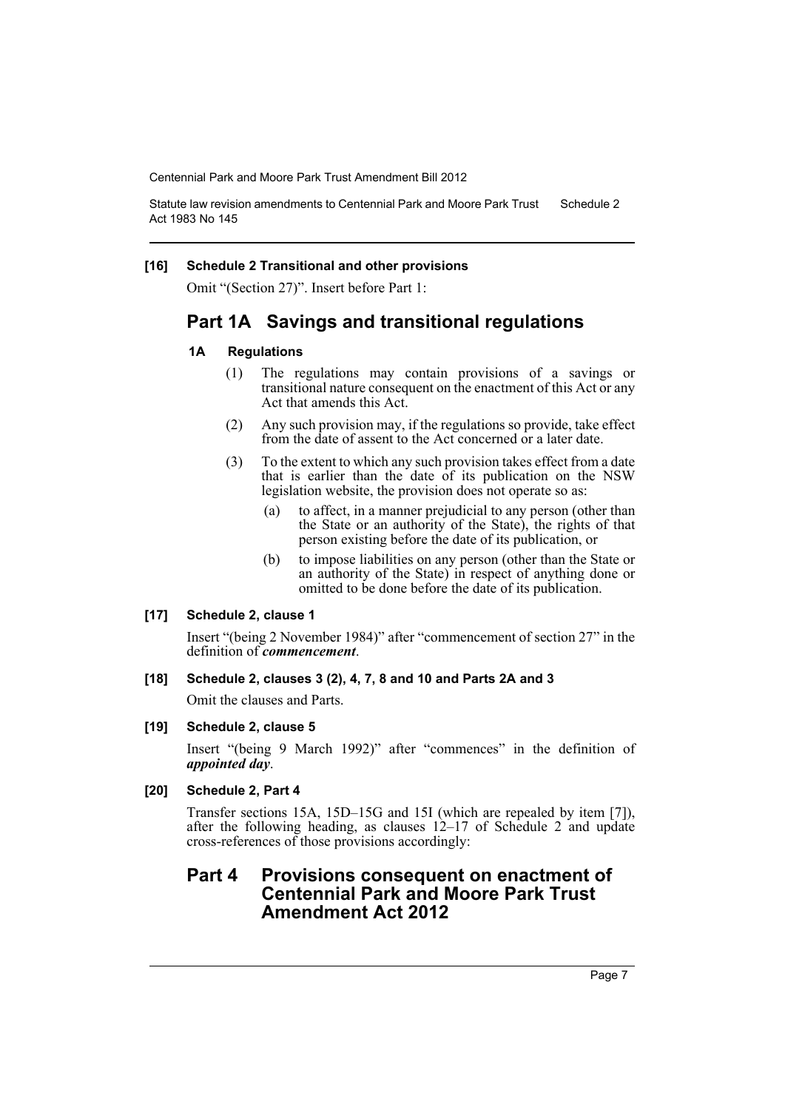Statute law revision amendments to Centennial Park and Moore Park Trust Act 1983 No 145 Schedule 2

#### **[16] Schedule 2 Transitional and other provisions**

Omit "(Section 27)". Insert before Part 1:

## **Part 1A Savings and transitional regulations**

#### **1A Regulations**

- (1) The regulations may contain provisions of a savings or transitional nature consequent on the enactment of this Act or any Act that amends this Act.
- (2) Any such provision may, if the regulations so provide, take effect from the date of assent to the Act concerned or a later date.
- (3) To the extent to which any such provision takes effect from a date that is earlier than the date of its publication on the NSW legislation website, the provision does not operate so as:
	- (a) to affect, in a manner prejudicial to any person (other than the State or an authority of the State), the rights of that person existing before the date of its publication, or
	- (b) to impose liabilities on any person (other than the State or an authority of the State) in respect of anything done or omitted to be done before the date of its publication.

#### **[17] Schedule 2, clause 1**

Insert "(being 2 November 1984)" after "commencement of section 27" in the definition of *commencement*.

#### **[18] Schedule 2, clauses 3 (2), 4, 7, 8 and 10 and Parts 2A and 3**

Omit the clauses and Parts.

#### **[19] Schedule 2, clause 5**

Insert "(being 9 March 1992)" after "commences" in the definition of *appointed day*.

#### **[20] Schedule 2, Part 4**

Transfer sections 15A, 15D–15G and 15I (which are repealed by item [7]), after the following heading, as clauses 12–17 of Schedule 2 and update cross-references of those provisions accordingly:

## **Part 4 Provisions consequent on enactment of Centennial Park and Moore Park Trust Amendment Act 2012**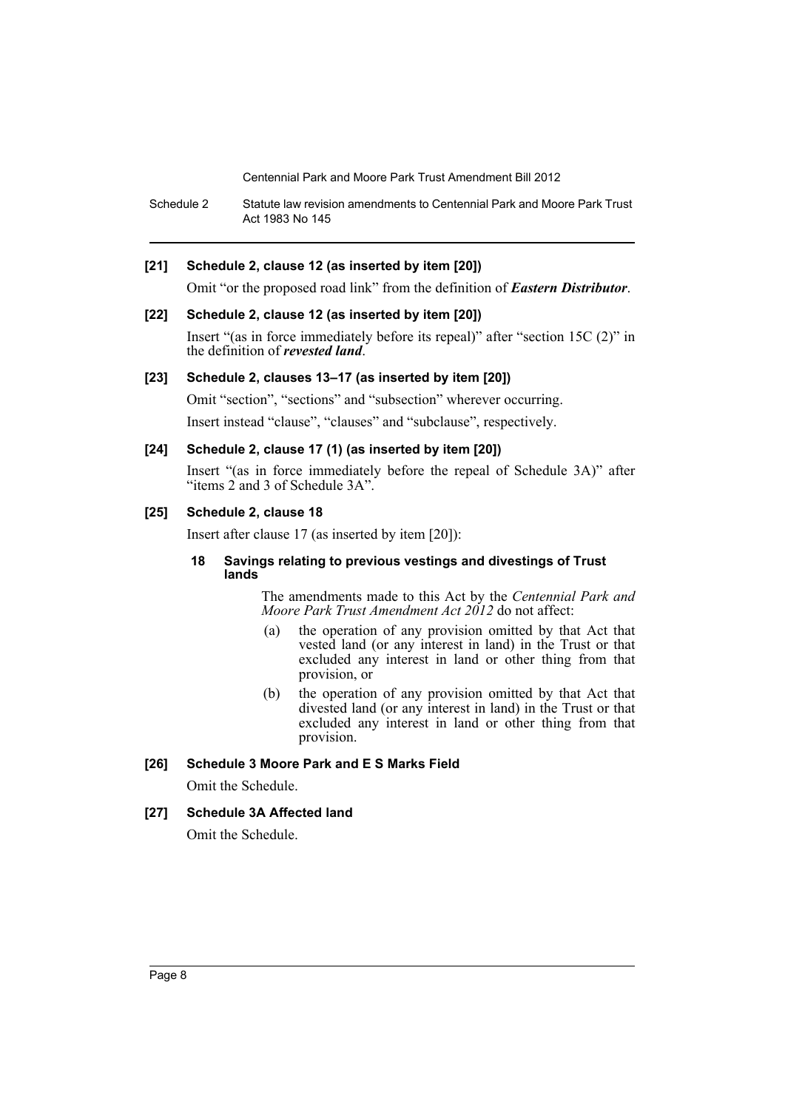Schedule 2 Statute law revision amendments to Centennial Park and Moore Park Trust Act 1983 No 145

#### **[21] Schedule 2, clause 12 (as inserted by item [20])**

Omit "or the proposed road link" from the definition of *Eastern Distributor*.

#### **[22] Schedule 2, clause 12 (as inserted by item [20])**

Insert "(as in force immediately before its repeal)" after "section 15C (2)" in the definition of *revested land*.

#### **[23] Schedule 2, clauses 13–17 (as inserted by item [20])**

Omit "section", "sections" and "subsection" wherever occurring.

Insert instead "clause", "clauses" and "subclause", respectively.

#### **[24] Schedule 2, clause 17 (1) (as inserted by item [20])**

Insert "(as in force immediately before the repeal of Schedule 3A)" after "items 2 and 3 of Schedule 3A".

#### **[25] Schedule 2, clause 18**

Insert after clause 17 (as inserted by item [20]):

#### **18 Savings relating to previous vestings and divestings of Trust lands**

The amendments made to this Act by the *Centennial Park and Moore Park Trust Amendment Act 2012* do not affect:

- (a) the operation of any provision omitted by that Act that vested land (or any interest in land) in the Trust or that excluded any interest in land or other thing from that provision, or
- (b) the operation of any provision omitted by that Act that divested land (or any interest in land) in the Trust or that excluded any interest in land or other thing from that provision.

#### **[26] Schedule 3 Moore Park and E S Marks Field**

Omit the Schedule.

#### **[27] Schedule 3A Affected land**

Omit the Schedule.